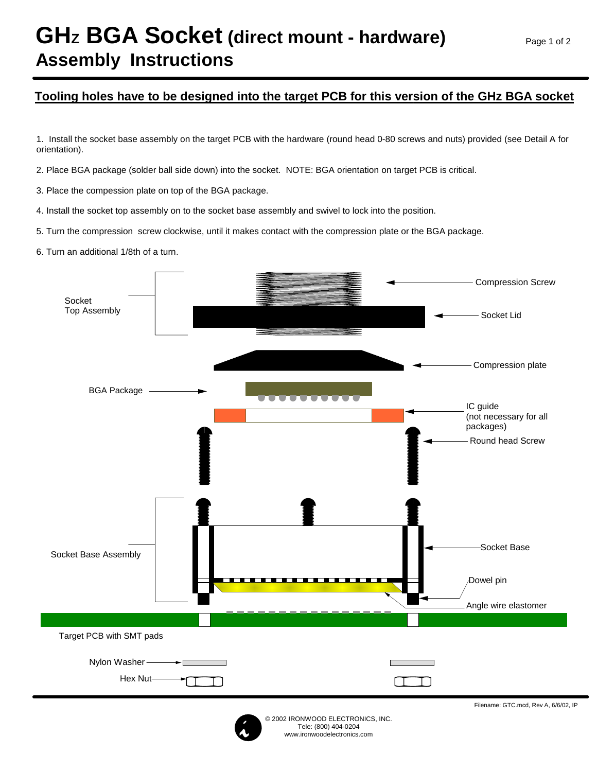## GHz BGA Socket (direct mount - hardware) **Assembly Instructions**

## **Tooling holes have to be designed into the target PCB for this version of the GHz BGA socket**

1. Install the socket base assembly on the target PCB with the hardware (round head 0-80 screws and nuts) provided (see Detail A for orientation).

2. Place BGA package (solder ball side down) into the socket. NOTE: BGA orientation on target PCB is critical.

3. Place the compession plate on top of the BGA package.

4. Install the socket top assembly on to the socket base assembly and swivel to lock into the position.

5. Turn the compression screw clockwise, until it makes contact with the compression plate or the BGA package.

6. Turn an additional 1/8th of a turn.





Filename: GTC.mcd, Rev A, 6/6/02, IP